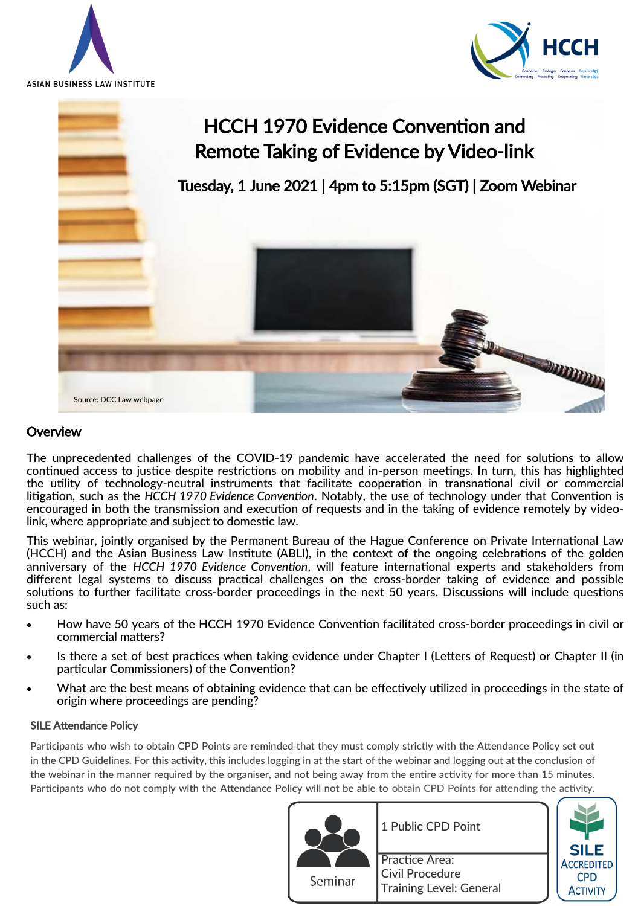





# **Overview**

The unprecedented challenges of the COVID-19 pandemic have accelerated the need for solutions to allow continued access to justice despite restrictions on mobility and in-person meetings. In turn, this has highlighted the utility of technology-neutral instruments that facilitate cooperation in transnational civil or commercial litigation, such as the *HCCH 1970 Evidence Convention*. Notably, the use of technology under that Convention is encouraged in both the transmission and execution of requests and in the taking of evidence remotely by videolink, where appropriate and subject to domestic law.

This webinar, jointly organised by the Permanent Bureau of the Hague Conference on Private International Law (HCCH) and the Asian Business Law Institute (ABLI), in the context of the ongoing celebrations of the golden anniversary of the *HCCH 1970 Evidence Convention*, will feature international experts and stakeholders from different legal systems to discuss practical challenges on the cross-border taking of evidence and possible solutions to further facilitate cross-border proceedings in the next 50 years. Discussions will include questions such as:

- How have 50 years of the HCCH 1970 Evidence Convention facilitated cross-border proceedings in civil or commercial matters?
- Is there a set of best practices when taking evidence under Chapter I (Letters of Request) or Chapter II (in particular Commissioners) of the Convention?
- What are the best means of obtaining evidence that can be effectively utilized in proceedings in the state of origin where proceedings are pending?

## SILE Attendance Policy

Participants who wish to obtain CPD Points are reminded that they must comply strictly with the Attendance Policy set out in the CPD Guidelines. For this activity, this includes logging in at the start of the webinar and logging out at the conclusion of the webinar in the manner required by the organiser, and not being away from the entire activity for more than 15 minutes. Participants who do not comply with the Attendance Policy will not be able to obtain CPD Points for attending the activity.



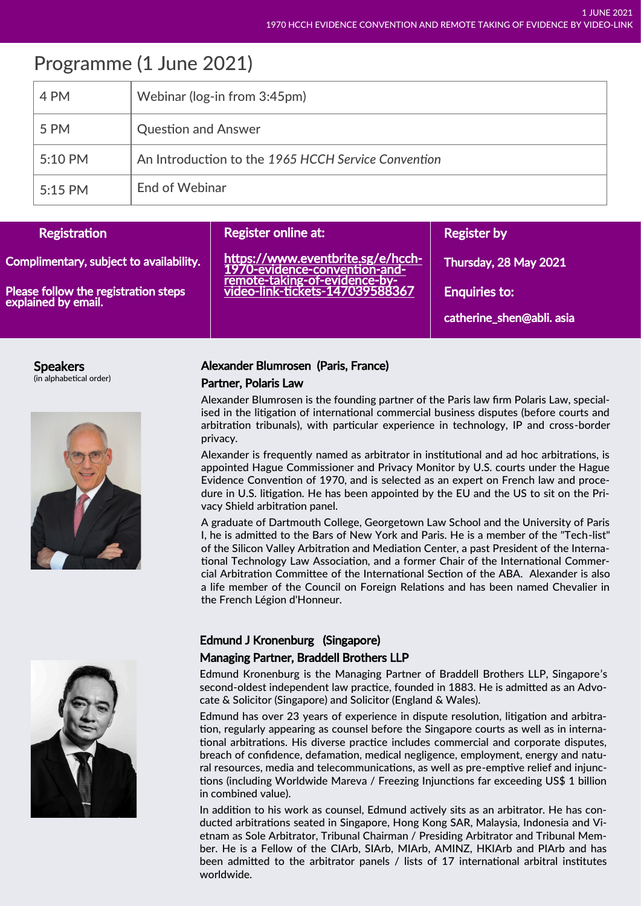# Programme (1 June 2021)

| 4 PM    | Webinar (log-in from 3:45pm)                        |
|---------|-----------------------------------------------------|
| 5 PM    | <b>Question and Answer</b>                          |
| 5:10 PM | An Introduction to the 1965 HCCH Service Convention |
| 5:15 PM | <b>End of Webinar</b>                               |

| Registration                                                | Register online at:                                                                                                                    | <b>Register by</b>        |
|-------------------------------------------------------------|----------------------------------------------------------------------------------------------------------------------------------------|---------------------------|
| Complimentary, subject to availability.                     | https://www.eventbrite.sg/e/hcch-<br>1970-evidence-convention-and-<br>remote-taking-of-evidence-by-<br>video-link-tickets-147039588367 | Thursday, 28 May 2021     |
| Please follow the registration steps<br>explained by email. |                                                                                                                                        | <b>Enquiries to:</b>      |
|                                                             |                                                                                                                                        | catherine_shen@abli. asia |

#### Speakers (in alphabetical order)



## Alexander Blumrosen (Paris, France)

#### Partner, Polaris Law

Alexander Blumrosen is the founding partner of the Paris law firm Polaris Law, specialised in the litigation of international commercial business disputes (before courts and arbitration tribunals), with particular experience in technology, IP and cross-border privacy.

Alexander is frequently named as arbitrator in institutional and ad hoc arbitrations, is appointed Hague Commissioner and Privacy Monitor by U.S. courts under the Hague Evidence Convention of 1970, and is selected as an expert on French law and procedure in U.S. litigation. He has been appointed by the EU and the US to sit on the Privacy Shield arbitration panel.

A graduate of Dartmouth College, Georgetown Law School and the University of Paris I, he is admitted to the Bars of New York and Paris. He is a member of the "Tech-list" of the Silicon Valley Arbitration and Mediation Center, a past President of the International Technology Law Association, and a former Chair of the International Commercial Arbitration Committee of the International Section of the ABA. Alexander is also a life member of the Council on Foreign Relations and has been named Chevalier in the French Légion d'Honneur.



# Edmund J Kronenburg (Singapore) Managing Partner, Braddell Brothers LLP

Edmund Kronenburg is the Managing Partner of Braddell Brothers LLP, Singapore's second-oldest independent law practice, founded in 1883. He is admitted as an Advocate & Solicitor (Singapore) and Solicitor (England & Wales).

Edmund has over 23 years of experience in dispute resolution, litigation and arbitration, regularly appearing as counsel before the Singapore courts as well as in international arbitrations. His diverse practice includes commercial and corporate disputes, breach of confidence, defamation, medical negligence, employment, energy and natural resources, media and telecommunications, as well as pre-emptive relief and injunctions (including Worldwide Mareva / Freezing Injunctions far exceeding US\$ 1 billion in combined value).

In addition to his work as counsel, Edmund actively sits as an arbitrator. He has conducted arbitrations seated in Singapore, Hong Kong SAR, Malaysia, Indonesia and Vietnam as Sole Arbitrator, Tribunal Chairman / Presiding Arbitrator and Tribunal Member. He is a Fellow of the CIArb, SIArb, MIArb, AMINZ, HKIArb and PIArb and has been admitted to the arbitrator panels / lists of 17 international arbitral institutes worldwide.